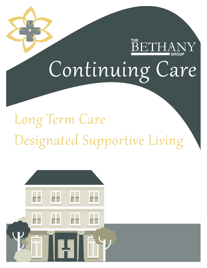# **BETHANY** Continuing Care

## Long Term Care Designated Supportive Living

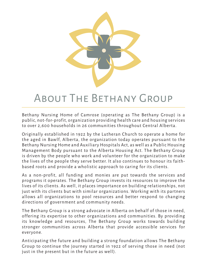

### About The Bethany Group

Bethany Nursing Home of Camrose (operating as The Bethany Group) is a public, not-for-profit, organization providing health care and housing services to over 2,600 households in 26 communities throughout Central Alberta.

Originally established in 1922 by the Lutheran Church to operate a home for the aged in Bawlf, Alberta, the organization today operates pursuant to the Bethany Nursing Home and Auxiliary Hospitals Act, as well as a Public Housing Management Body pursuant to the Alberta Housing Act. The Bethany Group is driven by the people who work and volunteer for the organization to make the lives of the people they serve better. It also continues to honour its faithbased roots and provide a wholistic approach to caring for its clients.

As a non-profit, all funding and monies are put towards the services and programs it operates. The Bethany Group invests its resources to improve the lives of its clients. As well, it places importance on building relationships, not just with its clients but with similar organizations. Working with its partners allows all organizations to pool resources and better respond to changing directions of government and community needs.

The Bethany Group is a strong advocate in Alberta on behalf of those in need, offering its expertise to other organizations and communities. By providing its knowledge and resources, The Bethany Group works towards building stronger communities across Alberta that provide accessible services for everyone.

Anticipating the future and building a strong foundation allows The Bethany Group to continue the journey started in 1922 of serving those in need (not just in the present but in the future as well).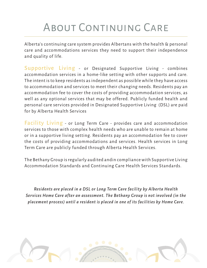### ABOUT CONTINUING CARE

Alberta's continuing care system provides Albertans with the health & personal care and accommodations services they need to support their independence and quality of life.

Supportive Living - or Designated Supportive Living - combines accommodation services in a home-like setting with other supports and care. The intent is to keep residents as independent as possible while they have access to accommodation and services to meet their changing needs. Residents pay an accommodation fee to cover the costs of providing accommodation services, as well as any optional services that may be offered. Publicly funded health and personal care services provided in Designated Supportive Living (DSL) are paid for by Alberta Health Services

Facility Living - or Long Term Care - provides care and accommodation services to those with complex health needs who are unable to remain at home or in a supportive living setting. Residents pay an accommodation fee to cover the costs of providing accommodations and services. Health services in Long Term Care are publicly funded through Alberta Health Services.

The Bethany Group is regularly audited andin compliance with Supportive Living Accommodation Standards and Continuing Care Health Services Standards.

*Residents are placed in a DSL or Long Term Care facility by Alberta Health Services Home Care after an assessment. The Bethany Group is not involved (in the placement process) until a resident is placed in one of its facilities by Home Care.*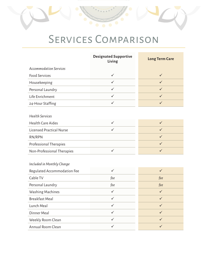### SERVICES COMPARISON

|                                 | <b>Designated Supportive</b><br>Living | <b>Long Term Care</b> |
|---------------------------------|----------------------------------------|-----------------------|
| <b>Accommodation Services</b>   |                                        |                       |
| <b>Food Services</b>            | $\checkmark$                           | $\checkmark$          |
| Housekeeping                    | $\checkmark$                           | $\checkmark$          |
| Personal Laundry                | $\checkmark$                           | $\checkmark$          |
| Life Enrichment                 | $\checkmark$                           | $\checkmark$          |
| 24-Hour Staffing                | $\checkmark$                           | $\checkmark$          |
|                                 |                                        |                       |
| <b>Health Services</b>          |                                        |                       |
| <b>Health Care Aides</b>        | $\checkmark$                           | $\checkmark$          |
| <b>Licensed Practical Nurse</b> | $\checkmark$                           | $\checkmark$          |
| RN/RPN                          |                                        | $\checkmark$          |
| Professional Therapies          |                                        | $\checkmark$          |
| Non-Professional Therapies      | $\checkmark$                           | $\checkmark$          |
|                                 |                                        |                       |
| Included in Monthly Charge      |                                        |                       |
| Regulated Accommodation Fee     | $\checkmark$                           | $\checkmark$          |
| Cable TV                        | fee                                    | fee                   |
| Personal Laundry                | fee                                    | fee                   |
| Washing Machines                | $\checkmark$                           | $\checkmark$          |
| <b>Breakfast Meal</b>           | $\checkmark$                           | $\checkmark$          |
| Lunch Meal                      | $\checkmark$                           | $\checkmark$          |
| Dinner Meal                     | $\checkmark$                           | $\checkmark$          |
| Weekly Room Clean               | $\checkmark$                           | ✓                     |
| Annual Room Clean               | ✓                                      | ✓                     |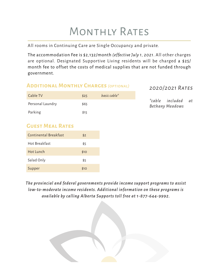### MONTHLY RATES

All rooms in Continuing Care are Single Occupancy and private.

The accommodation Fee is \$2,132/month *(effective July 1, 2021*. All other charges are optional. Designated Supportive Living residents will be charged a \$25/ month fee to offset the costs of medical supplies that are not funded through government.

#### *2020/2021 Rates* **Additional Monthly Charges** *(optional)*

| Cable TV         | \$25 | basic cable* |
|------------------|------|--------------|
| Personal Laundry | \$65 |              |
| Parking          | \$15 |              |

*\*cable included at Bethany Meadows*

#### **Guest Meal Rates**

| Continental Breakfast | \$2  |
|-----------------------|------|
| Hot Breakfast         | \$5  |
| Hot Lunch             | \$10 |
| Salad Only            | \$5  |
| Supper                | \$10 |

*The provincial and federal governments provide income support programs to assist low-to-moderate income residents. Additional information on these programs is available by calling Alberta Supports toll free at 1-877-644-9992.*

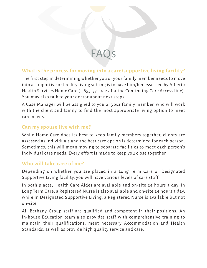#### **What is the process for moving into a care/supportive living facility?**

FAC

The first step in determining whether you or your family member needs to move into a supportive or facility living setting is to have him/her assessed by Alberta Health Services Home Care (1-855-371-4122 for the Continuing Care Access line). You may also talk to your doctor about next steps.

A Case Manager will be assigned to you or your family member, who will work with the client and family to find the most appropriate living option to meet care needs.

#### **Can my spouse live with me?**

While Home Care does its best to keep family members together, clients are assessed as individuals and the best care option is determined for each person. Sometimes, this will mean moving to separate facilities to meet each person's individual care needs. Every effort is made to keep you close together.

#### **Who will take care of me?**

Depending on whether you are placed in a Long Term Care or Designated Supportive Living facility, you will have various levels of care staff.

In both places, Health Care Aides are available and on-site 24 hours a day. In Long Term Care, a Registered Nurse is also available and on-site 24 hours a day, while in Designated Supportive Living, a Registered Nurse is available but not on-site.

All Bethany Group staff are qualified and competent in their positions. An in-house Education team also provides staff with comprehensive training to maintain their qualifications, meet necessary Accommodation and Health Standards, as well as provide high quality service and care.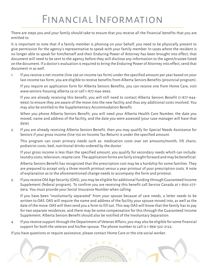### Financial Information

There are steps you and your family should take to ensure that you receive all the financial benefits that you are entitled to.

It is important to note that if a family member is phoning on your behalf, you need to be physically present to give permission for the agency's representative to speak with your family member. In cases where the resident is no longer able to speak for him/herself and their Enduring Power of Attorney has been brought into effect, that document will need to be sent to the agency before they will disclose any information to the agent/trustee listed on the document. If a doctor's evaluation is required to bring the Enduring Power of Attorney into effect, send that document in as well.

1. If you receive a net income (line 236 on income tax form) under the specified amount per year based on your last income tax form, you are eligible to receive benefits from Alberta Seniors Benefits (provincial program).

If you require an application form for Alberta Seniors Benefits, you can receive one from Home Care, visit www.seniors-housing.alberta.ca or call 1-877-644-9992.

If you are already receiving this benefit, you will still need to contact Alberta Seniors Benefit (1-877-644- 9992) to ensure they are aware of the move into the new facility and thus any additional costs involved. You may also be entitled to the Supplementary Accommodation Benefit.

When you phone Alberta Seniors Benefit, you will need your Alberta Health Care Number, the date you moved, name and address of the facility, and the date you were assessed (your case manager will have that date).

2. If you are already receiving Alberta Seniors Benefit, then you may qualify for Special Needs Assistance for Seniors if your gross income (line 150 on Income Tax Return) is under the specified amount.

This program can cover primary needs such as: medication costs over set amounts/month; lift chairs; podiatrist costs; bed; nutritional drinks ordered by the doctor.

If your gross income is less than the specified amount, you qualify for secondary needs which can include: laundry costs; television; respite care. The application forms are fairly straight forward and may be beneficial.

Alberta Seniors Benefit has recognized that the prescription cost may be a hardship for some families. They are prepared to accept only a three month printout versus a year printout of your prescription costs. A note of explanation as to the aforementioned change needs to accompany the form and printout.

3. If you receive Old Age Security (OAS), you may be eligible for additional funding through Guaranteed Income Supplement (federal program). To confirm you are receiving this benefit call Service Canada at 1-800-277- 9914. You must provide your Social Insurance Number when calling.

If you have been "involuntarily separated" from your spouse because of care needs, a letter needs to be written to OAS. OAS will require the name and address of the facility your spouse moved into, as well as the date of the move. OAS will then send you a form to fill out. This way OAS will know that the family has to pay for two separate residences, and there may be some compensation for this through the Guaranteed Income Supplement. Alberta Seniors Benefit should also be notified of the Involuntary Separation.

4. If you receive support through the Department of Veteran Affairs, you may also be eligible for some financial support for both the veteran and his/her spouse. The phone number to call is 1-866-522-2122.

If you have questions or require assistance, please contact Home Care or the site social worker.